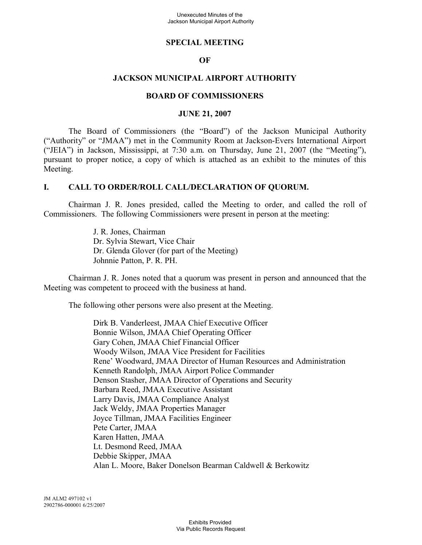#### **SPECIAL MEETING**

### **OF**

### **JACKSON MUNICIPAL AIRPORT AUTHORITY**

#### **BOARD OF COMMISSIONERS**

#### **JUNE 21, 2007**

The Board of Commissioners (the "Board") of the Jackson Municipal Authority ("Authority" or "JMAA") met in the Community Room at Jackson-Evers International Airport ("JEIA") in Jackson, Mississippi, at 7:30 a.m. on Thursday, June 21, 2007 (the "Meeting"), pursuant to proper notice, a copy of which is attached as an exhibit to the minutes of this Meeting.

#### **I. CALL TO ORDER/ROLL CALL/DECLARATION OF QUORUM.**

Chairman J. R. Jones presided, called the Meeting to order, and called the roll of Commissioners. The following Commissioners were present in person at the meeting:

> J. R. Jones, Chairman Dr. Sylvia Stewart, Vice Chair Dr. Glenda Glover (for part of the Meeting) Johnnie Patton, P. R. PH.

Chairman J. R. Jones noted that a quorum was present in person and announced that the Meeting was competent to proceed with the business at hand.

The following other persons were also present at the Meeting.

Dirk B. Vanderleest, JMAA Chief Executive Officer Bonnie Wilson, JMAA Chief Operating Officer Gary Cohen, JMAA Chief Financial Officer Woody Wilson, JMAA Vice President for Facilities Rene' Woodward, JMAA Director of Human Resources and Administration Kenneth Randolph, JMAA Airport Police Commander Denson Stasher, JMAA Director of Operations and Security Barbara Reed, JMAA Executive Assistant Larry Davis, JMAA Compliance Analyst Jack Weldy, JMAA Properties Manager Joyce Tillman, JMAA Facilities Engineer Pete Carter, JMAA Karen Hatten, JMAA Lt. Desmond Reed, JMAA Debbie Skipper, JMAA Alan L. Moore, Baker Donelson Bearman Caldwell & Berkowitz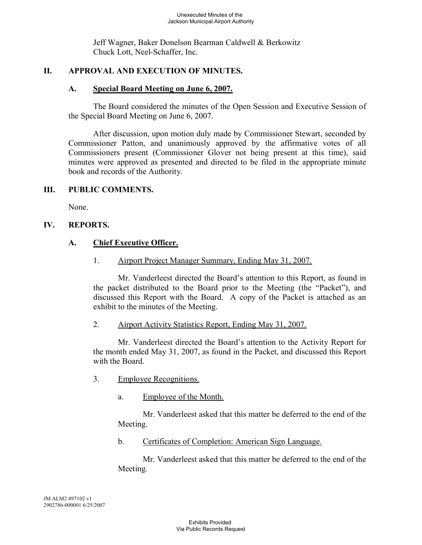Jeff Wagner, Baker Donelson Bearman Caldwell & Berkowitz Chuck Lott, Neel-Schaffer, Inc.

# **II. APPROVAL AND EXECUTION OF MINUTES.**

# **A. Special Board Meeting on June 6, 2007.**

The Board considered the minutes of the Open Session and Executive Session of the Special Board Meeting on June 6, 2007.

After discussion, upon motion duly made by Commissioner Stewart, seconded by Commissioner Patton, and unanimously approved by the affirmative votes of all Commissioners present (Commissioner Glover not being present at this time), said minutes were approved as presented and directed to be filed in the appropriate minute book and records of the Authority.

# **III. PUBLIC COMMENTS.**

None.

# **IV. REPORTS.**

# **A. Chief Executive Officer.**

1. Airport Project Manager Summary, Ending May 31, 2007.

Mr. Vanderleest directed the Board's attention to this Report, as found in the packet distributed to the Board prior to the Meeting (the "Packet"), and discussed this Report with the Board. A copy of the Packet is attached as an exhibit to the minutes of the Meeting.

## 2. Airport Activity Statistics Report, Ending May 31, 2007.

Mr. Vanderleest directed the Board's attention to the Activity Report for the month ended May 31, 2007, as found in the Packet, and discussed this Report with the Board.

- 3. Employee Recognitions.
	- a. Employee of the Month.

Mr. Vanderleest asked that this matter be deferred to the end of the Meeting.

b. Certificates of Completion: American Sign Language.

Mr. Vanderleest asked that this matter be deferred to the end of the Meeting.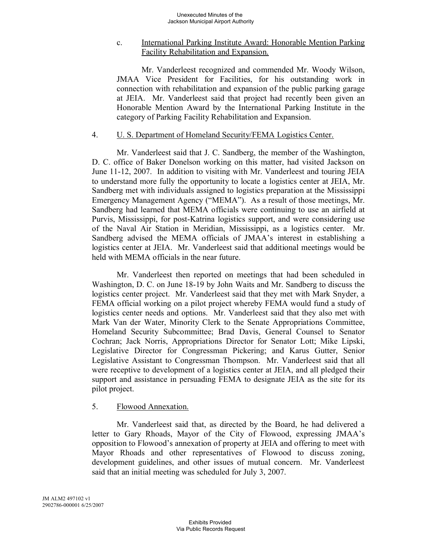### c. International Parking Institute Award: Honorable Mention Parking Facility Rehabilitation and Expansion.

Mr. Vanderleest recognized and commended Mr. Woody Wilson, JMAA Vice President for Facilities, for his outstanding work in connection with rehabilitation and expansion of the public parking garage at JEIA. Mr. Vanderleest said that project had recently been given an Honorable Mention Award by the International Parking Institute in the category of Parking Facility Rehabilitation and Expansion.

#### 4. U. S. Department of Homeland Security/FEMA Logistics Center.

Mr. Vanderleest said that J. C. Sandberg, the member of the Washington, D. C. office of Baker Donelson working on this matter, had visited Jackson on June 11-12, 2007. In addition to visiting with Mr. Vanderleest and touring JEIA to understand more fully the opportunity to locate a logistics center at JEIA, Mr. Sandberg met with individuals assigned to logistics preparation at the Mississippi Emergency Management Agency ("MEMA"). As a result of those meetings, Mr. Sandberg had learned that MEMA officials were continuing to use an airfield at Purvis, Mississippi, for post-Katrina logistics support, and were considering use of the Naval Air Station in Meridian, Mississippi, as a logistics center. Mr. Sandberg advised the MEMA officials of JMAA's interest in establishing a logistics center at JEIA. Mr. Vanderleest said that additional meetings would be held with MEMA officials in the near future.

Mr. Vanderleest then reported on meetings that had been scheduled in Washington, D. C. on June 18-19 by John Waits and Mr. Sandberg to discuss the logistics center project. Mr. Vanderleest said that they met with Mark Snyder, a FEMA official working on a pilot project whereby FEMA would fund a study of logistics center needs and options. Mr. Vanderleest said that they also met with Mark Van der Water, Minority Clerk to the Senate Appropriations Committee, Homeland Security Subcommittee; Brad Davis, General Counsel to Senator Cochran; Jack Norris, Appropriations Director for Senator Lott; Mike Lipski, Legislative Director for Congressman Pickering; and Karus Gutter, Senior Legislative Assistant to Congressman Thompson. Mr. Vanderleest said that all were receptive to development of a logistics center at JEIA, and all pledged their support and assistance in persuading FEMA to designate JEIA as the site for its pilot project.

## 5. Flowood Annexation.

Mr. Vanderleest said that, as directed by the Board, he had delivered a letter to Gary Rhoads, Mayor of the City of Flowood, expressing JMAA's opposition to Flowood's annexation of property at JEIA and offering to meet with Mayor Rhoads and other representatives of Flowood to discuss zoning, development guidelines, and other issues of mutual concern. Mr. Vanderleest said that an initial meeting was scheduled for July 3, 2007.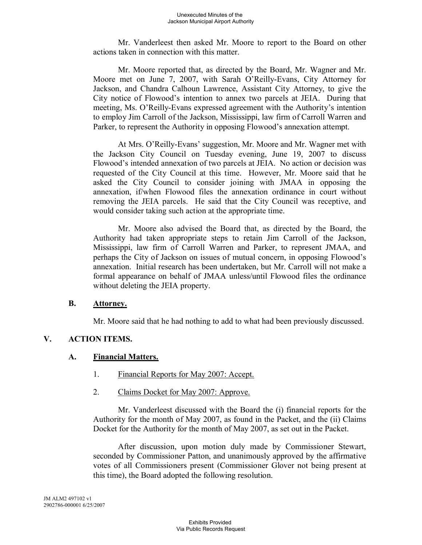Mr. Vanderleest then asked Mr. Moore to report to the Board on other actions taken in connection with this matter.

Mr. Moore reported that, as directed by the Board, Mr. Wagner and Mr. Moore met on June 7, 2007, with Sarah O'Reilly-Evans, City Attorney for Jackson, and Chandra Calhoun Lawrence, Assistant City Attorney, to give the City notice of Flowood's intention to annex two parcels at JEIA. During that meeting, Ms. O'Reilly-Evans expressed agreement with the Authority's intention to employ Jim Carroll of the Jackson, Mississippi, law firm of Carroll Warren and Parker, to represent the Authority in opposing Flowood's annexation attempt.

At Mrs. O'Reilly-Evans' suggestion, Mr. Moore and Mr. Wagner met with the Jackson City Council on Tuesday evening, June 19, 2007 to discuss Flowood's intended annexation of two parcels at JEIA. No action or decision was requested of the City Council at this time. However, Mr. Moore said that he asked the City Council to consider joining with JMAA in opposing the annexation, if/when Flowood files the annexation ordinance in court without removing the JEIA parcels. He said that the City Council was receptive, and would consider taking such action at the appropriate time.

Mr. Moore also advised the Board that, as directed by the Board, the Authority had taken appropriate steps to retain Jim Carroll of the Jackson, Mississippi, law firm of Carroll Warren and Parker, to represent JMAA, and perhaps the City of Jackson on issues of mutual concern, in opposing Flowood's annexation. Initial research has been undertaken, but Mr. Carroll will not make a formal appearance on behalf of JMAA unless/until Flowood files the ordinance without deleting the JEIA property.

#### **B. Attorney.**

Mr. Moore said that he had nothing to add to what had been previously discussed.

## **V. ACTION ITEMS.**

## **A. Financial Matters.**

- 1. Financial Reports for May 2007: Accept.
- 2. Claims Docket for May 2007: Approve.

Mr. Vanderleest discussed with the Board the (i) financial reports for the Authority for the month of May 2007, as found in the Packet, and the (ii) Claims Docket for the Authority for the month of May 2007, as set out in the Packet.

After discussion, upon motion duly made by Commissioner Stewart, seconded by Commissioner Patton, and unanimously approved by the affirmative votes of all Commissioners present (Commissioner Glover not being present at this time), the Board adopted the following resolution.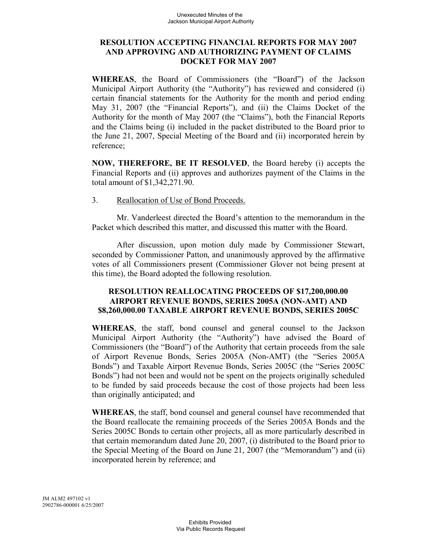### **RESOLUTION ACCEPTING FINANCIAL REPORTS FOR MAY 2007 AND APPROVING AND AUTHORIZING PAYMENT OF CLAIMS DOCKET FOR MAY 2007**

**WHEREAS**, the Board of Commissioners (the "Board") of the Jackson Municipal Airport Authority (the "Authority") has reviewed and considered (i) certain financial statements for the Authority for the month and period ending May 31, 2007 (the "Financial Reports"), and (ii) the Claims Docket of the Authority for the month of May 2007 (the "Claims"), both the Financial Reports and the Claims being (i) included in the packet distributed to the Board prior to the June 21, 2007, Special Meeting of the Board and (ii) incorporated herein by reference;

**NOW, THEREFORE, BE IT RESOLVED**, the Board hereby (i) accepts the Financial Reports and (ii) approves and authorizes payment of the Claims in the total amount of \$1,342,271.90.

#### 3. Reallocation of Use of Bond Proceeds.

Mr. Vanderleest directed the Board's attention to the memorandum in the Packet which described this matter, and discussed this matter with the Board.

After discussion, upon motion duly made by Commissioner Stewart, seconded by Commissioner Patton, and unanimously approved by the affirmative votes of all Commissioners present (Commissioner Glover not being present at this time), the Board adopted the following resolution.

### **RESOLUTION REALLOCATING PROCEEDS OF \$17,200,000.00 AIRPORT REVENUE BONDS, SERIES 2005A (NON-AMT) AND \$8,260,000.00 TAXABLE AIRPORT REVENUE BONDS, SERIES 2005C**

**WHEREAS**, the staff, bond counsel and general counsel to the Jackson Municipal Airport Authority (the "Authority") have advised the Board of Commissioners (the "Board") of the Authority that certain proceeds from the sale of Airport Revenue Bonds, Series 2005A (Non-AMT) (the "Series 2005A Bonds") and Taxable Airport Revenue Bonds, Series 2005C (the "Series 2005C Bonds") had not been and would not be spent on the projects originally scheduled to be funded by said proceeds because the cost of those projects had been less than originally anticipated; and

**WHEREAS**, the staff, bond counsel and general counsel have recommended that the Board reallocate the remaining proceeds of the Series 2005A Bonds and the Series 2005C Bonds to certain other projects, all as more particularly described in that certain memorandum dated June 20, 2007, (i) distributed to the Board prior to the Special Meeting of the Board on June 21, 2007 (the "Memorandum") and (ii) incorporated herein by reference; and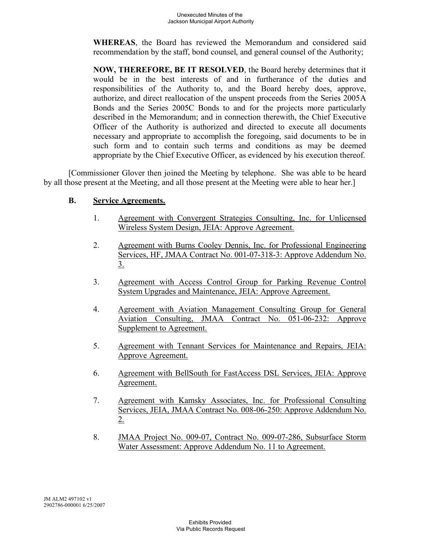**WHEREAS**, the Board has reviewed the Memorandum and considered said recommendation by the staff, bond counsel, and general counsel of the Authority;

**NOW, THEREFORE, BE IT RESOLVED**, the Board hereby determines that it would be in the best interests of and in furtherance of the duties and responsibilities of the Authority to, and the Board hereby does, approve, authorize, and direct reallocation of the unspent proceeds from the Series 2005A Bonds and the Series 2005C Bonds to and for the projects more particularly described in the Memorandum; and in connection therewith, the Chief Executive Officer of the Authority is authorized and directed to execute all documents necessary and appropriate to accomplish the foregoing, said documents to be in such form and to contain such terms and conditions as may be deemed appropriate by the Chief Executive Officer, as evidenced by his execution thereof.

[Commissioner Glover then joined the Meeting by telephone. She was able to be heard by all those present at the Meeting, and all those present at the Meeting were able to hear her.]

## **B. Service Agreements.**

- 1. Agreement with Convergent Strategies Consulting, Inc. for Unlicensed Wireless System Design, JEIA: Approve Agreement.
- 2. Agreement with Burns Cooley Dennis, Inc. for Professional Engineering Services, HF, JMAA Contract No. 001-07-318-3: Approve Addendum No.  $3<sub>1</sub>$
- 3. Agreement with Access Control Group for Parking Revenue Control System Upgrades and Maintenance, JEIA: Approve Agreement.
- 4. Agreement with Aviation Management Consulting Group for General Aviation Consulting, JMAA Contract No. 051-06-232: Approve Supplement to Agreement.
- 5. Agreement with Tennant Services for Maintenance and Repairs, JEIA: Approve Agreement.
- 6. Agreement with BellSouth for FastAccess DSL Services, JEIA: Approve Agreement.
- 7. Agreement with Kamsky Associates, Inc. for Professional Consulting Services, JEIA, JMAA Contract No. 008-06-250: Approve Addendum No.  $2.$
- 8. JMAA Project No. 009-07, Contract No. 009-07-286, Subsurface Storm Water Assessment: Approve Addendum No. 11 to Agreement.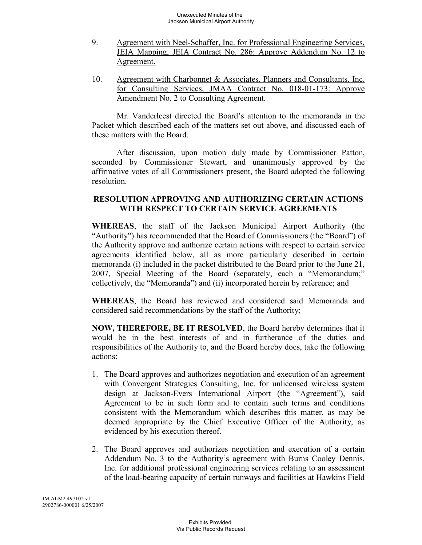- 9. Agreement with Neel-Schaffer, Inc. for Professional Engineering Services, JEIA Mapping, JEIA Contract No. 286: Approve Addendum No. 12 to Agreement.
- 10. Agreement with Charbonnet & Associates, Planners and Consultants, Inc. for Consulting Services, JMAA Contract No. 018-01-173: Approve Amendment No. 2 to Consulting Agreement.

Mr. Vanderleest directed the Board's attention to the memoranda in the Packet which described each of the matters set out above, and discussed each of these matters with the Board.

After discussion, upon motion duly made by Commissioner Patton, seconded by Commissioner Stewart, and unanimously approved by the affirmative votes of all Commissioners present, the Board adopted the following resolution.

### **RESOLUTION APPROVING AND AUTHORIZING CERTAIN ACTIONS WITH RESPECT TO CERTAIN SERVICE AGREEMENTS**

**WHEREAS**, the staff of the Jackson Municipal Airport Authority (the "Authority") has recommended that the Board of Commissioners (the "Board") of the Authority approve and authorize certain actions with respect to certain service agreements identified below, all as more particularly described in certain memoranda (i) included in the packet distributed to the Board prior to the June 21, 2007, Special Meeting of the Board (separately, each a "Memorandum;" collectively, the "Memoranda") and (ii) incorporated herein by reference; and

**WHEREAS**, the Board has reviewed and considered said Memoranda and considered said recommendations by the staff of the Authority;

**NOW, THEREFORE, BE IT RESOLVED**, the Board hereby determines that it would be in the best interests of and in furtherance of the duties and responsibilities of the Authority to, and the Board hereby does, take the following actions:

- 1. The Board approves and authorizes negotiation and execution of an agreement with Convergent Strategies Consulting, Inc. for unlicensed wireless system design at Jackson-Evers International Airport (the "Agreement"), said Agreement to be in such form and to contain such terms and conditions consistent with the Memorandum which describes this matter, as may be deemed appropriate by the Chief Executive Officer of the Authority, as evidenced by his execution thereof.
- 2. The Board approves and authorizes negotiation and execution of a certain Addendum No. 3 to the Authority's agreement with Burns Cooley Dennis, Inc. for additional professional engineering services relating to an assessment of the load-bearing capacity of certain runways and facilities at Hawkins Field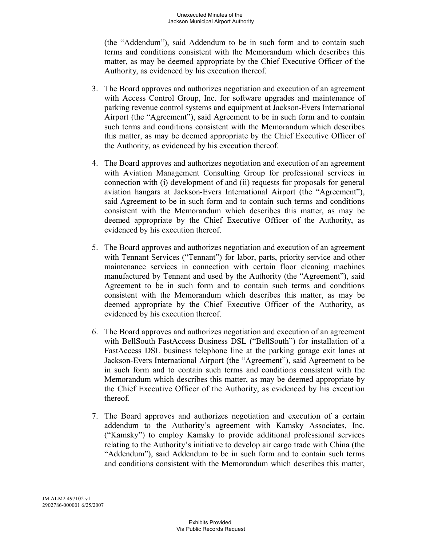(the "Addendum"), said Addendum to be in such form and to contain such terms and conditions consistent with the Memorandum which describes this matter, as may be deemed appropriate by the Chief Executive Officer of the Authority, as evidenced by his execution thereof.

- 3. The Board approves and authorizes negotiation and execution of an agreement with Access Control Group, Inc. for software upgrades and maintenance of parking revenue control systems and equipment at Jackson-Evers International Airport (the "Agreement"), said Agreement to be in such form and to contain such terms and conditions consistent with the Memorandum which describes this matter, as may be deemed appropriate by the Chief Executive Officer of the Authority, as evidenced by his execution thereof.
- 4. The Board approves and authorizes negotiation and execution of an agreement with Aviation Management Consulting Group for professional services in connection with (i) development of and (ii) requests for proposals for general aviation hangars at Jackson-Evers International Airport (the "Agreement"), said Agreement to be in such form and to contain such terms and conditions consistent with the Memorandum which describes this matter, as may be deemed appropriate by the Chief Executive Officer of the Authority, as evidenced by his execution thereof.
- 5. The Board approves and authorizes negotiation and execution of an agreement with Tennant Services ("Tennant") for labor, parts, priority service and other maintenance services in connection with certain floor cleaning machines manufactured by Tennant and used by the Authority (the "Agreement"), said Agreement to be in such form and to contain such terms and conditions consistent with the Memorandum which describes this matter, as may be deemed appropriate by the Chief Executive Officer of the Authority, as evidenced by his execution thereof.
- 6. The Board approves and authorizes negotiation and execution of an agreement with BellSouth FastAccess Business DSL ("BellSouth") for installation of a FastAccess DSL business telephone line at the parking garage exit lanes at Jackson-Evers International Airport (the "Agreement"), said Agreement to be in such form and to contain such terms and conditions consistent with the Memorandum which describes this matter, as may be deemed appropriate by the Chief Executive Officer of the Authority, as evidenced by his execution thereof.
- 7. The Board approves and authorizes negotiation and execution of a certain addendum to the Authority's agreement with Kamsky Associates, Inc. ("Kamsky") to employ Kamsky to provide additional professional services relating to the Authority's initiative to develop air cargo trade with China (the "Addendum"), said Addendum to be in such form and to contain such terms and conditions consistent with the Memorandum which describes this matter,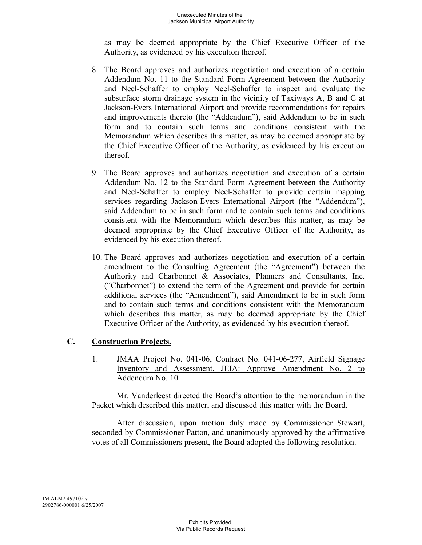as may be deemed appropriate by the Chief Executive Officer of the Authority, as evidenced by his execution thereof.

- 8. The Board approves and authorizes negotiation and execution of a certain Addendum No. 11 to the Standard Form Agreement between the Authority and Neel-Schaffer to employ Neel-Schaffer to inspect and evaluate the subsurface storm drainage system in the vicinity of Taxiways A, B and C at Jackson-Evers International Airport and provide recommendations for repairs and improvements thereto (the "Addendum"), said Addendum to be in such form and to contain such terms and conditions consistent with the Memorandum which describes this matter, as may be deemed appropriate by the Chief Executive Officer of the Authority, as evidenced by his execution thereof.
- 9. The Board approves and authorizes negotiation and execution of a certain Addendum No. 12 to the Standard Form Agreement between the Authority and Neel-Schaffer to employ Neel-Schaffer to provide certain mapping services regarding Jackson-Evers International Airport (the "Addendum"), said Addendum to be in such form and to contain such terms and conditions consistent with the Memorandum which describes this matter, as may be deemed appropriate by the Chief Executive Officer of the Authority, as evidenced by his execution thereof.
- 10. The Board approves and authorizes negotiation and execution of a certain amendment to the Consulting Agreement (the "Agreement") between the Authority and Charbonnet & Associates, Planners and Consultants, Inc. ("Charbonnet") to extend the term of the Agreement and provide for certain additional services (the "Amendment"), said Amendment to be in such form and to contain such terms and conditions consistent with the Memorandum which describes this matter, as may be deemed appropriate by the Chief Executive Officer of the Authority, as evidenced by his execution thereof.

# **C. Construction Projects.**

1. JMAA Project No. 041-06, Contract No. 041-06-277, Airfield Signage Inventory and Assessment, JEIA: Approve Amendment No. 2 to Addendum No. 10.

Mr. Vanderleest directed the Board's attention to the memorandum in the Packet which described this matter, and discussed this matter with the Board.

After discussion, upon motion duly made by Commissioner Stewart, seconded by Commissioner Patton, and unanimously approved by the affirmative votes of all Commissioners present, the Board adopted the following resolution.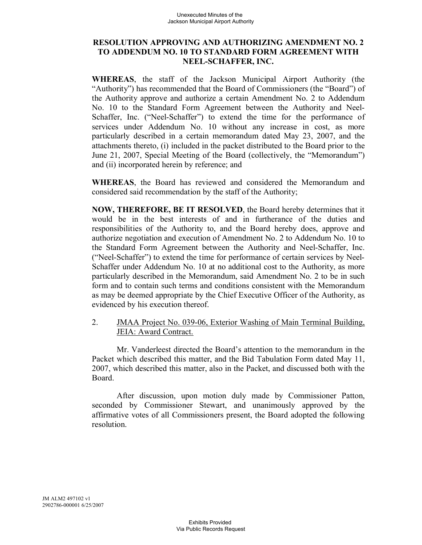### **RESOLUTION APPROVING AND AUTHORIZING AMENDMENT NO. 2 TO ADDENDUM NO. 10 TO STANDARD FORM AGREEMENT WITH NEEL-SCHAFFER, INC.**

**WHEREAS**, the staff of the Jackson Municipal Airport Authority (the "Authority") has recommended that the Board of Commissioners (the "Board") of the Authority approve and authorize a certain Amendment No. 2 to Addendum No. 10 to the Standard Form Agreement between the Authority and Neel-Schaffer, Inc. ("Neel-Schaffer") to extend the time for the performance of services under Addendum No. 10 without any increase in cost, as more particularly described in a certain memorandum dated May 23, 2007, and the attachments thereto, (i) included in the packet distributed to the Board prior to the June 21, 2007, Special Meeting of the Board (collectively, the "Memorandum") and (ii) incorporated herein by reference; and

**WHEREAS**, the Board has reviewed and considered the Memorandum and considered said recommendation by the staff of the Authority;

**NOW, THEREFORE, BE IT RESOLVED**, the Board hereby determines that it would be in the best interests of and in furtherance of the duties and responsibilities of the Authority to, and the Board hereby does, approve and authorize negotiation and execution of Amendment No. 2 to Addendum No. 10 to the Standard Form Agreement between the Authority and Neel-Schaffer, Inc. ("Neel-Schaffer") to extend the time for performance of certain services by Neel-Schaffer under Addendum No. 10 at no additional cost to the Authority, as more particularly described in the Memorandum, said Amendment No. 2 to be in such form and to contain such terms and conditions consistent with the Memorandum as may be deemed appropriate by the Chief Executive Officer of the Authority, as evidenced by his execution thereof.

2. JMAA Project No. 039-06, Exterior Washing of Main Terminal Building, JEIA: Award Contract.

Mr. Vanderleest directed the Board's attention to the memorandum in the Packet which described this matter, and the Bid Tabulation Form dated May 11, 2007, which described this matter, also in the Packet, and discussed both with the Board.

After discussion, upon motion duly made by Commissioner Patton, seconded by Commissioner Stewart, and unanimously approved by the affirmative votes of all Commissioners present, the Board adopted the following resolution.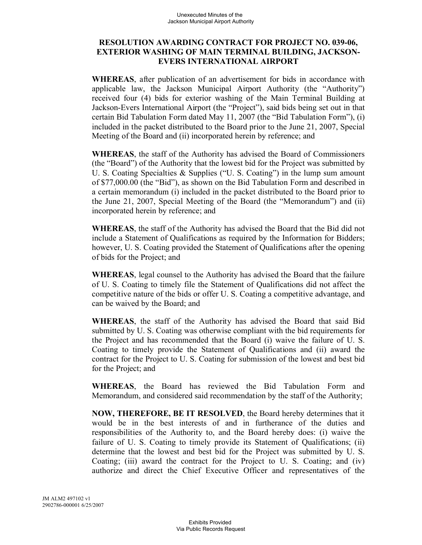### **RESOLUTION AWARDING CONTRACT FOR PROJECT NO. 039-06, EXTERIOR WASHING OF MAIN TERMINAL BUILDING, JACKSON-EVERS INTERNATIONAL AIRPORT**

**WHEREAS**, after publication of an advertisement for bids in accordance with applicable law, the Jackson Municipal Airport Authority (the "Authority") received four (4) bids for exterior washing of the Main Terminal Building at Jackson-Evers International Airport (the "Project"), said bids being set out in that certain Bid Tabulation Form dated May 11, 2007 (the "Bid Tabulation Form"), (i) included in the packet distributed to the Board prior to the June 21, 2007, Special Meeting of the Board and (ii) incorporated herein by reference; and

**WHEREAS**, the staff of the Authority has advised the Board of Commissioners (the "Board") of the Authority that the lowest bid for the Project was submitted by U. S. Coating Specialties & Supplies ("U. S. Coating") in the lump sum amount of \$77,000.00 (the "Bid"), as shown on the Bid Tabulation Form and described in a certain memorandum (i) included in the packet distributed to the Board prior to the June 21, 2007, Special Meeting of the Board (the "Memorandum") and (ii) incorporated herein by reference; and

**WHEREAS**, the staff of the Authority has advised the Board that the Bid did not include a Statement of Qualifications as required by the Information for Bidders; however, U. S. Coating provided the Statement of Qualifications after the opening of bids for the Project; and

**WHEREAS**, legal counsel to the Authority has advised the Board that the failure of U. S. Coating to timely file the Statement of Qualifications did not affect the competitive nature of the bids or offer U. S. Coating a competitive advantage, and can be waived by the Board; and

**WHEREAS**, the staff of the Authority has advised the Board that said Bid submitted by U. S. Coating was otherwise compliant with the bid requirements for the Project and has recommended that the Board (i) waive the failure of U. S. Coating to timely provide the Statement of Qualifications and (ii) award the contract for the Project to U. S. Coating for submission of the lowest and best bid for the Project; and

**WHEREAS**, the Board has reviewed the Bid Tabulation Form and Memorandum, and considered said recommendation by the staff of the Authority;

**NOW, THEREFORE, BE IT RESOLVED**, the Board hereby determines that it would be in the best interests of and in furtherance of the duties and responsibilities of the Authority to, and the Board hereby does: (i) waive the failure of U. S. Coating to timely provide its Statement of Qualifications; (ii) determine that the lowest and best bid for the Project was submitted by U. S. Coating; (iii) award the contract for the Project to U. S. Coating; and (iv) authorize and direct the Chief Executive Officer and representatives of the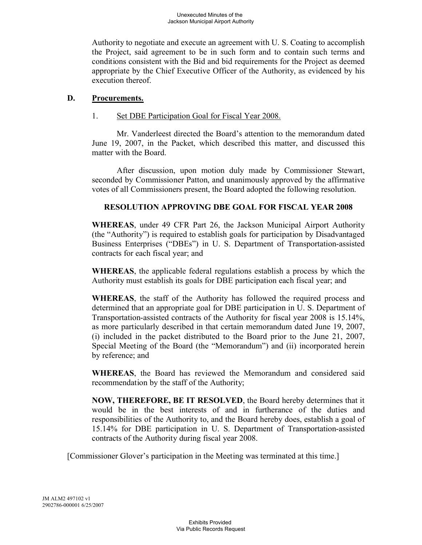Authority to negotiate and execute an agreement with U. S. Coating to accomplish the Project, said agreement to be in such form and to contain such terms and conditions consistent with the Bid and bid requirements for the Project as deemed appropriate by the Chief Executive Officer of the Authority, as evidenced by his execution thereof.

#### **D. Procurements.**

#### 1. Set DBE Participation Goal for Fiscal Year 2008.

Mr. Vanderleest directed the Board's attention to the memorandum dated June 19, 2007, in the Packet, which described this matter, and discussed this matter with the Board.

After discussion, upon motion duly made by Commissioner Stewart, seconded by Commissioner Patton, and unanimously approved by the affirmative votes of all Commissioners present, the Board adopted the following resolution.

### **RESOLUTION APPROVING DBE GOAL FOR FISCAL YEAR 2008**

**WHEREAS**, under 49 CFR Part 26, the Jackson Municipal Airport Authority (the "Authority") is required to establish goals for participation by Disadvantaged Business Enterprises ("DBEs") in U. S. Department of Transportation-assisted contracts for each fiscal year; and

**WHEREAS**, the applicable federal regulations establish a process by which the Authority must establish its goals for DBE participation each fiscal year; and

**WHEREAS**, the staff of the Authority has followed the required process and determined that an appropriate goal for DBE participation in U. S. Department of Transportation-assisted contracts of the Authority for fiscal year 2008 is 15.14%, as more particularly described in that certain memorandum dated June 19, 2007, (i) included in the packet distributed to the Board prior to the June 21, 2007, Special Meeting of the Board (the "Memorandum") and (ii) incorporated herein by reference; and

**WHEREAS**, the Board has reviewed the Memorandum and considered said recommendation by the staff of the Authority;

**NOW, THEREFORE, BE IT RESOLVED**, the Board hereby determines that it would be in the best interests of and in furtherance of the duties and responsibilities of the Authority to, and the Board hereby does, establish a goal of 15.14% for DBE participation in U. S. Department of Transportation-assisted contracts of the Authority during fiscal year 2008.

[Commissioner Glover's participation in the Meeting was terminated at this time.]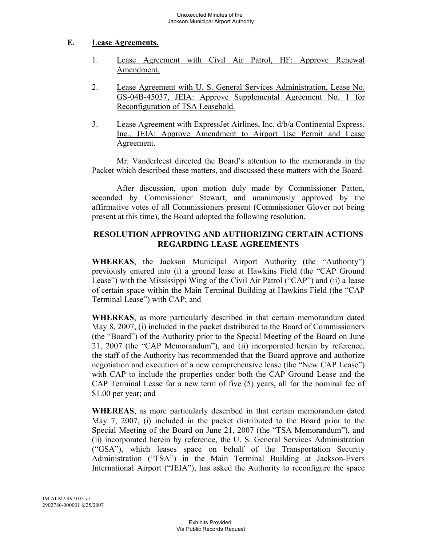## **E. Lease Agreements.**

- 1. Lease Agreement with Civil Air Patrol, HF: Approve Renewal Amendment.
- 2. Lease Agreement with U. S. General Services Administration, Lease No. GS-04B-45037, JEIA: Approve Supplemental Agreement No. 1 for Reconfiguration of TSA Leasehold.
- 3. Lease Agreement with ExpressJet Airlines, Inc. d/b/a Continental Express, Inc., JEIA: Approve Amendment to Airport Use Permit and Lease Agreement.

Mr. Vanderleest directed the Board's attention to the memoranda in the Packet which described these matters, and discussed these matters with the Board.

After discussion, upon motion duly made by Commissioner Patton, seconded by Commissioner Stewart, and unanimously approved by the affirmative votes of all Commissioners present (Commissioner Glover not being present at this time), the Board adopted the following resolution.

# **RESOLUTION APPROVING AND AUTHORIZING CERTAIN ACTIONS REGARDING LEASE AGREEMENTS**

**WHEREAS**, the Jackson Municipal Airport Authority (the "Authority") previously entered into (i) a ground lease at Hawkins Field (the "CAP Ground Lease") with the Mississippi Wing of the Civil Air Patrol ("CAP") and (ii) a lease of certain space within the Main Terminal Building at Hawkins Field (the "CAP Terminal Lease") with CAP; and

**WHEREAS**, as more particularly described in that certain memorandum dated May 8, 2007, (i) included in the packet distributed to the Board of Commissioners (the "Board") of the Authority prior to the Special Meeting of the Board on June 21, 2007 (the "CAP Memorandum"), and (ii) incorporated herein by reference, the staff of the Authority has recommended that the Board approve and authorize negotiation and execution of a new comprehensive lease (the "New CAP Lease") with CAP to include the properties under both the CAP Ground Lease and the CAP Terminal Lease for a new term of five (5) years, all for the nominal fee of \$1.00 per year; and

**WHEREAS**, as more particularly described in that certain memorandum dated May 7, 2007, (i) included in the packet distributed to the Board prior to the Special Meeting of the Board on June 21, 2007 (the "TSA Memorandum"), and (ii) incorporated herein by reference, the U. S. General Services Administration ("GSA"), which leases space on behalf of the Transportation Security Administration ("TSA") in the Main Terminal Building at Jackson-Evers International Airport ("JEIA"), has asked the Authority to reconfigure the space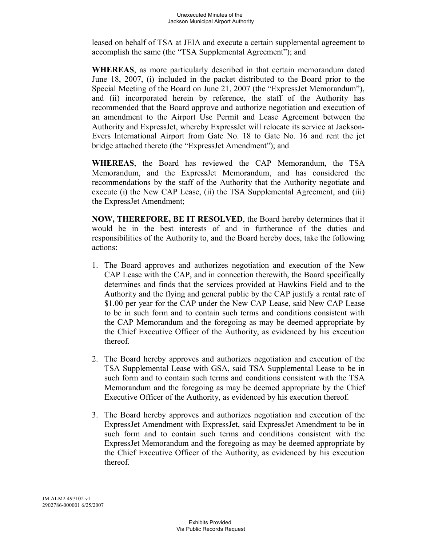leased on behalf of TSA at JEIA and execute a certain supplemental agreement to accomplish the same (the "TSA Supplemental Agreement"); and

**WHEREAS**, as more particularly described in that certain memorandum dated June 18, 2007, (i) included in the packet distributed to the Board prior to the Special Meeting of the Board on June 21, 2007 (the "ExpressJet Memorandum"), and (ii) incorporated herein by reference, the staff of the Authority has recommended that the Board approve and authorize negotiation and execution of an amendment to the Airport Use Permit and Lease Agreement between the Authority and ExpressJet, whereby ExpressJet will relocate its service at Jackson-Evers International Airport from Gate No. 18 to Gate No. 16 and rent the jet bridge attached thereto (the "ExpressJet Amendment"); and

**WHEREAS**, the Board has reviewed the CAP Memorandum, the TSA Memorandum, and the ExpressJet Memorandum, and has considered the recommendations by the staff of the Authority that the Authority negotiate and execute (i) the New CAP Lease, (ii) the TSA Supplemental Agreement, and (iii) the ExpressJet Amendment;

**NOW, THEREFORE, BE IT RESOLVED**, the Board hereby determines that it would be in the best interests of and in furtherance of the duties and responsibilities of the Authority to, and the Board hereby does, take the following actions:

- 1. The Board approves and authorizes negotiation and execution of the New CAP Lease with the CAP, and in connection therewith, the Board specifically determines and finds that the services provided at Hawkins Field and to the Authority and the flying and general public by the CAP justify a rental rate of \$1.00 per year for the CAP under the New CAP Lease, said New CAP Lease to be in such form and to contain such terms and conditions consistent with the CAP Memorandum and the foregoing as may be deemed appropriate by the Chief Executive Officer of the Authority, as evidenced by his execution thereof.
- 2. The Board hereby approves and authorizes negotiation and execution of the TSA Supplemental Lease with GSA, said TSA Supplemental Lease to be in such form and to contain such terms and conditions consistent with the TSA Memorandum and the foregoing as may be deemed appropriate by the Chief Executive Officer of the Authority, as evidenced by his execution thereof.
- 3. The Board hereby approves and authorizes negotiation and execution of the ExpressJet Amendment with ExpressJet, said ExpressJet Amendment to be in such form and to contain such terms and conditions consistent with the ExpressJet Memorandum and the foregoing as may be deemed appropriate by the Chief Executive Officer of the Authority, as evidenced by his execution thereof.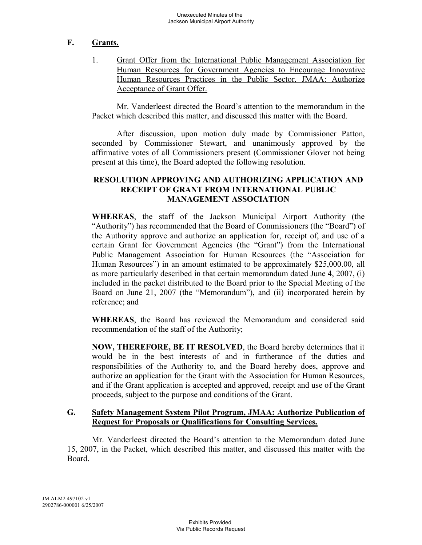# **F. Grants.**

1. Grant Offer from the International Public Management Association for Human Resources for Government Agencies to Encourage Innovative Human Resources Practices in the Public Sector, JMAA: Authorize Acceptance of Grant Offer.

Mr. Vanderleest directed the Board's attention to the memorandum in the Packet which described this matter, and discussed this matter with the Board.

After discussion, upon motion duly made by Commissioner Patton, seconded by Commissioner Stewart, and unanimously approved by the affirmative votes of all Commissioners present (Commissioner Glover not being present at this time), the Board adopted the following resolution.

### **RESOLUTION APPROVING AND AUTHORIZING APPLICATION AND RECEIPT OF GRANT FROM INTERNATIONAL PUBLIC MANAGEMENT ASSOCIATION**

**WHEREAS**, the staff of the Jackson Municipal Airport Authority (the "Authority") has recommended that the Board of Commissioners (the "Board") of the Authority approve and authorize an application for, receipt of, and use of a certain Grant for Government Agencies (the "Grant") from the International Public Management Association for Human Resources (the "Association for Human Resources") in an amount estimated to be approximately \$25,000.00, all as more particularly described in that certain memorandum dated June 4, 2007, (i) included in the packet distributed to the Board prior to the Special Meeting of the Board on June 21, 2007 (the "Memorandum"), and (ii) incorporated herein by reference; and

**WHEREAS**, the Board has reviewed the Memorandum and considered said recommendation of the staff of the Authority;

**NOW, THEREFORE, BE IT RESOLVED**, the Board hereby determines that it would be in the best interests of and in furtherance of the duties and responsibilities of the Authority to, and the Board hereby does, approve and authorize an application for the Grant with the Association for Human Resources, and if the Grant application is accepted and approved, receipt and use of the Grant proceeds, subject to the purpose and conditions of the Grant.

### **G. Safety Management System Pilot Program, JMAA: Authorize Publication of Request for Proposals or Qualifications for Consulting Services.**

Mr. Vanderleest directed the Board's attention to the Memorandum dated June 15, 2007, in the Packet, which described this matter, and discussed this matter with the Board.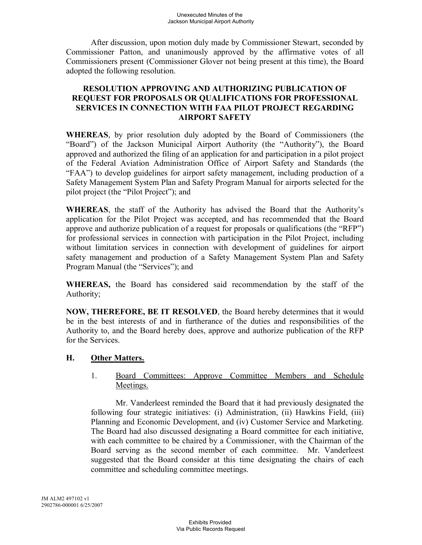After discussion, upon motion duly made by Commissioner Stewart, seconded by Commissioner Patton, and unanimously approved by the affirmative votes of all Commissioners present (Commissioner Glover not being present at this time), the Board adopted the following resolution.

## **RESOLUTION APPROVING AND AUTHORIZING PUBLICATION OF REQUEST FOR PROPOSALS OR QUALIFICATIONS FOR PROFESSIONAL SERVICES IN CONNECTION WITH FAA PILOT PROJECT REGARDING AIRPORT SAFETY**

**WHEREAS**, by prior resolution duly adopted by the Board of Commissioners (the "Board") of the Jackson Municipal Airport Authority (the "Authority"), the Board approved and authorized the filing of an application for and participation in a pilot project of the Federal Aviation Administration Office of Airport Safety and Standards (the "FAA") to develop guidelines for airport safety management, including production of a Safety Management System Plan and Safety Program Manual for airports selected for the pilot project (the "Pilot Project"); and

**WHEREAS**, the staff of the Authority has advised the Board that the Authority's application for the Pilot Project was accepted, and has recommended that the Board approve and authorize publication of a request for proposals or qualifications (the "RFP") for professional services in connection with participation in the Pilot Project, including without limitation services in connection with development of guidelines for airport safety management and production of a Safety Management System Plan and Safety Program Manual (the "Services"); and

**WHEREAS,** the Board has considered said recommendation by the staff of the Authority;

**NOW, THEREFORE, BE IT RESOLVED**, the Board hereby determines that it would be in the best interests of and in furtherance of the duties and responsibilities of the Authority to, and the Board hereby does, approve and authorize publication of the RFP for the Services.

## **H. Other Matters.**

1. Board Committees: Approve Committee Members and Schedule Meetings.

Mr. Vanderleest reminded the Board that it had previously designated the following four strategic initiatives: (i) Administration, (ii) Hawkins Field, (iii) Planning and Economic Development, and (iv) Customer Service and Marketing. The Board had also discussed designating a Board committee for each initiative, with each committee to be chaired by a Commissioner, with the Chairman of the Board serving as the second member of each committee. Mr. Vanderleest suggested that the Board consider at this time designating the chairs of each committee and scheduling committee meetings.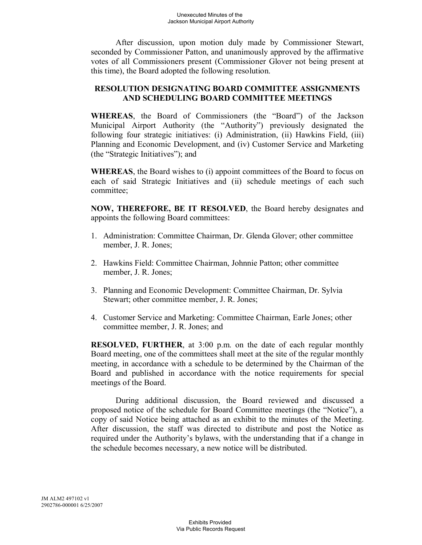After discussion, upon motion duly made by Commissioner Stewart, seconded by Commissioner Patton, and unanimously approved by the affirmative votes of all Commissioners present (Commissioner Glover not being present at this time), the Board adopted the following resolution.

## **RESOLUTION DESIGNATING BOARD COMMITTEE ASSIGNMENTS AND SCHEDULING BOARD COMMITTEE MEETINGS**

**WHEREAS**, the Board of Commissioners (the "Board") of the Jackson Municipal Airport Authority (the "Authority") previously designated the following four strategic initiatives: (i) Administration, (ii) Hawkins Field, (iii) Planning and Economic Development, and (iv) Customer Service and Marketing (the "Strategic Initiatives"); and

**WHEREAS**, the Board wishes to (i) appoint committees of the Board to focus on each of said Strategic Initiatives and (ii) schedule meetings of each such committee;

**NOW, THEREFORE, BE IT RESOLVED**, the Board hereby designates and appoints the following Board committees:

- 1. Administration: Committee Chairman, Dr. Glenda Glover; other committee member, J. R. Jones;
- 2. Hawkins Field: Committee Chairman, Johnnie Patton; other committee member, J. R. Jones;
- 3. Planning and Economic Development: Committee Chairman, Dr. Sylvia Stewart; other committee member, J. R. Jones;
- 4. Customer Service and Marketing: Committee Chairman, Earle Jones; other committee member, J. R. Jones; and

**RESOLVED, FURTHER**, at 3:00 p.m. on the date of each regular monthly Board meeting, one of the committees shall meet at the site of the regular monthly meeting, in accordance with a schedule to be determined by the Chairman of the Board and published in accordance with the notice requirements for special meetings of the Board.

During additional discussion, the Board reviewed and discussed a proposed notice of the schedule for Board Committee meetings (the "Notice"), a copy of said Notice being attached as an exhibit to the minutes of the Meeting. After discussion, the staff was directed to distribute and post the Notice as required under the Authority's bylaws, with the understanding that if a change in the schedule becomes necessary, a new notice will be distributed.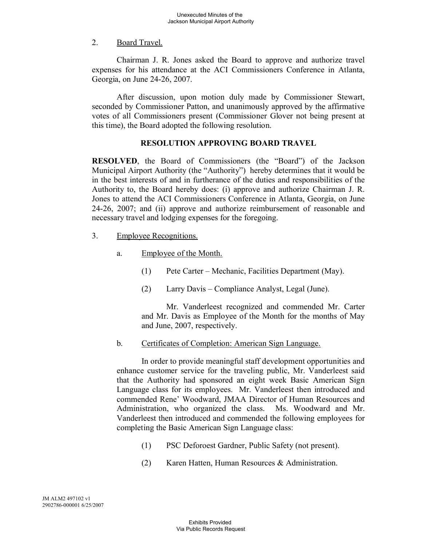## 2. Board Travel.

Chairman J. R. Jones asked the Board to approve and authorize travel expenses for his attendance at the ACI Commissioners Conference in Atlanta, Georgia, on June 24-26, 2007.

After discussion, upon motion duly made by Commissioner Stewart, seconded by Commissioner Patton, and unanimously approved by the affirmative votes of all Commissioners present (Commissioner Glover not being present at this time), the Board adopted the following resolution.

# **RESOLUTION APPROVING BOARD TRAVEL**

**RESOLVED**, the Board of Commissioners (the "Board") of the Jackson Municipal Airport Authority (the "Authority") hereby determines that it would be in the best interests of and in furtherance of the duties and responsibilities of the Authority to, the Board hereby does: (i) approve and authorize Chairman J. R. Jones to attend the ACI Commissioners Conference in Atlanta, Georgia, on June 24-26, 2007; and (ii) approve and authorize reimbursement of reasonable and necessary travel and lodging expenses for the foregoing.

- 3. Employee Recognitions.
	- a. Employee of the Month.
		- (1) Pete Carter Mechanic, Facilities Department (May).
		- (2) Larry Davis Compliance Analyst, Legal (June).

Mr. Vanderleest recognized and commended Mr. Carter and Mr. Davis as Employee of the Month for the months of May and June, 2007, respectively.

b. Certificates of Completion: American Sign Language.

In order to provide meaningful staff development opportunities and enhance customer service for the traveling public, Mr. Vanderleest said that the Authority had sponsored an eight week Basic American Sign Language class for its employees. Mr. Vanderleest then introduced and commended Rene' Woodward, JMAA Director of Human Resources and Administration, who organized the class. Ms. Woodward and Mr. Vanderleest then introduced and commended the following employees for completing the Basic American Sign Language class:

- (1) PSC Deforoest Gardner, Public Safety (not present).
- (2) Karen Hatten, Human Resources & Administration.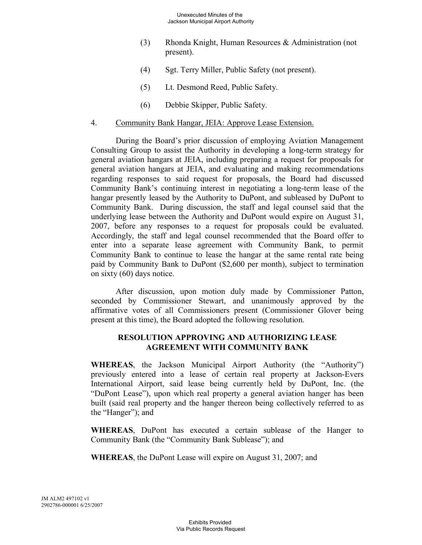- (3) Rhonda Knight, Human Resources & Administration (not present).
- (4) Sgt. Terry Miller, Public Safety (not present).
- (5) Lt. Desmond Reed, Public Safety.
- (6) Debbie Skipper, Public Safety.

### 4. Community Bank Hangar, JEIA: Approve Lease Extension.

During the Board's prior discussion of employing Aviation Management Consulting Group to assist the Authority in developing a long-term strategy for general aviation hangars at JEIA, including preparing a request for proposals for general aviation hangars at JEIA, and evaluating and making recommendations regarding responses to said request for proposals, the Board had discussed Community Bank's continuing interest in negotiating a long-term lease of the hangar presently leased by the Authority to DuPont, and subleased by DuPont to Community Bank. During discussion, the staff and legal counsel said that the underlying lease between the Authority and DuPont would expire on August 31, 2007, before any responses to a request for proposals could be evaluated. Accordingly, the staff and legal counsel recommended that the Board offer to enter into a separate lease agreement with Community Bank, to permit Community Bank to continue to lease the hangar at the same rental rate being paid by Community Bank to DuPont (\$2,600 per month), subject to termination on sixty (60) days notice.

After discussion, upon motion duly made by Commissioner Patton, seconded by Commissioner Stewart, and unanimously approved by the affirmative votes of all Commissioners present (Commissioner Glover being present at this time), the Board adopted the following resolution.

## **RESOLUTION APPROVING AND AUTHORIZING LEASE AGREEMENT WITH COMMUNITY BANK**

**WHEREAS**, the Jackson Municipal Airport Authority (the "Authority") previously entered into a lease of certain real property at Jackson-Evers International Airport, said lease being currently held by DuPont, Inc. (the "DuPont Lease"), upon which real property a general aviation hanger has been built (said real property and the hanger thereon being collectively referred to as the "Hanger"); and

**WHEREAS**, DuPont has executed a certain sublease of the Hanger to Community Bank (the "Community Bank Sublease"); and

**WHEREAS**, the DuPont Lease will expire on August 31, 2007; and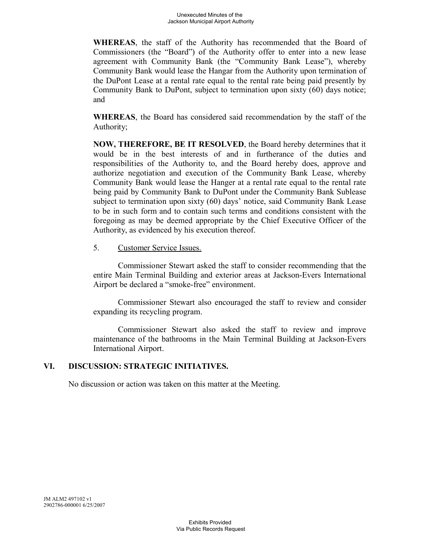**WHEREAS**, the staff of the Authority has recommended that the Board of Commissioners (the "Board") of the Authority offer to enter into a new lease agreement with Community Bank (the "Community Bank Lease"), whereby Community Bank would lease the Hangar from the Authority upon termination of the DuPont Lease at a rental rate equal to the rental rate being paid presently by Community Bank to DuPont, subject to termination upon sixty (60) days notice; and

**WHEREAS**, the Board has considered said recommendation by the staff of the Authority;

**NOW, THEREFORE, BE IT RESOLVED**, the Board hereby determines that it would be in the best interests of and in furtherance of the duties and responsibilities of the Authority to, and the Board hereby does, approve and authorize negotiation and execution of the Community Bank Lease, whereby Community Bank would lease the Hanger at a rental rate equal to the rental rate being paid by Community Bank to DuPont under the Community Bank Sublease subject to termination upon sixty (60) days' notice, said Community Bank Lease to be in such form and to contain such terms and conditions consistent with the foregoing as may be deemed appropriate by the Chief Executive Officer of the Authority, as evidenced by his execution thereof.

### 5. Customer Service Issues.

Commissioner Stewart asked the staff to consider recommending that the entire Main Terminal Building and exterior areas at Jackson-Evers International Airport be declared a "smoke-free" environment.

Commissioner Stewart also encouraged the staff to review and consider expanding its recycling program.

Commissioner Stewart also asked the staff to review and improve maintenance of the bathrooms in the Main Terminal Building at Jackson-Evers International Airport.

## **VI. DISCUSSION: STRATEGIC INITIATIVES.**

No discussion or action was taken on this matter at the Meeting.